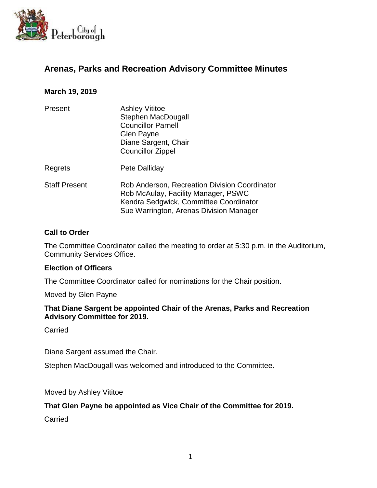

# **Arenas, Parks and Recreation Advisory Committee Minutes**

### **March 19, 2019**

| Present              | <b>Ashley Vititoe</b><br><b>Stephen MacDougall</b><br><b>Councillor Parnell</b><br>Glen Payne<br>Diane Sargent, Chair<br><b>Councillor Zippel</b>                         |
|----------------------|---------------------------------------------------------------------------------------------------------------------------------------------------------------------------|
| Regrets              | Pete Dalliday                                                                                                                                                             |
| <b>Staff Present</b> | Rob Anderson, Recreation Division Coordinator<br>Rob McAulay, Facility Manager, PSWC<br>Kendra Sedgwick, Committee Coordinator<br>Sue Warrington, Arenas Division Manager |

#### **Call to Order**

The Committee Coordinator called the meeting to order at 5:30 p.m. in the Auditorium, Community Services Office.

#### **Election of Officers**

The Committee Coordinator called for nominations for the Chair position.

Moved by Glen Payne

#### **That Diane Sargent be appointed Chair of the Arenas, Parks and Recreation Advisory Committee for 2019.**

Carried

Diane Sargent assumed the Chair.

Stephen MacDougall was welcomed and introduced to the Committee.

Moved by Ashley Vititoe

#### **That Glen Payne be appointed as Vice Chair of the Committee for 2019.**

Carried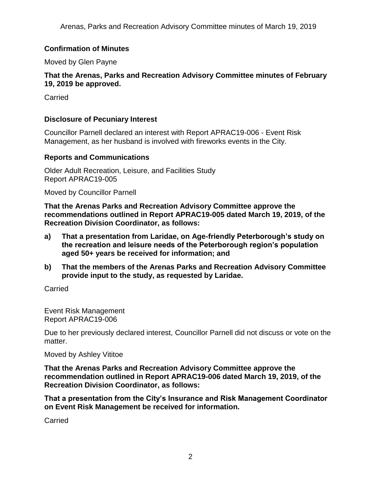## **Confirmation of Minutes**

Moved by Glen Payne

### **That the Arenas, Parks and Recreation Advisory Committee minutes of February 19, 2019 be approved.**

**Carried** 

### **Disclosure of Pecuniary Interest**

Councillor Parnell declared an interest with Report APRAC19-006 - Event Risk Management, as her husband is involved with fireworks events in the City.

### **Reports and Communications**

Older Adult Recreation, Leisure, and Facilities Study Report APRAC19-005

Moved by Councillor Parnell

**That the Arenas Parks and Recreation Advisory Committee approve the recommendations outlined in Report APRAC19-005 dated March 19, 2019, of the Recreation Division Coordinator, as follows:**

- **a) That a presentation from Laridae, on Age-friendly Peterborough's study on the recreation and leisure needs of the Peterborough region's population aged 50+ years be received for information; and**
- **b) That the members of the Arenas Parks and Recreation Advisory Committee provide input to the study, as requested by Laridae.**

Carried

Event Risk Management Report APRAC19-006

Due to her previously declared interest, Councillor Parnell did not discuss or vote on the matter.

Moved by Ashley Vititoe

**That the Arenas Parks and Recreation Advisory Committee approve the recommendation outlined in Report APRAC19-006 dated March 19, 2019, of the Recreation Division Coordinator, as follows:**

**That a presentation from the City's Insurance and Risk Management Coordinator on Event Risk Management be received for information.** 

**Carried**